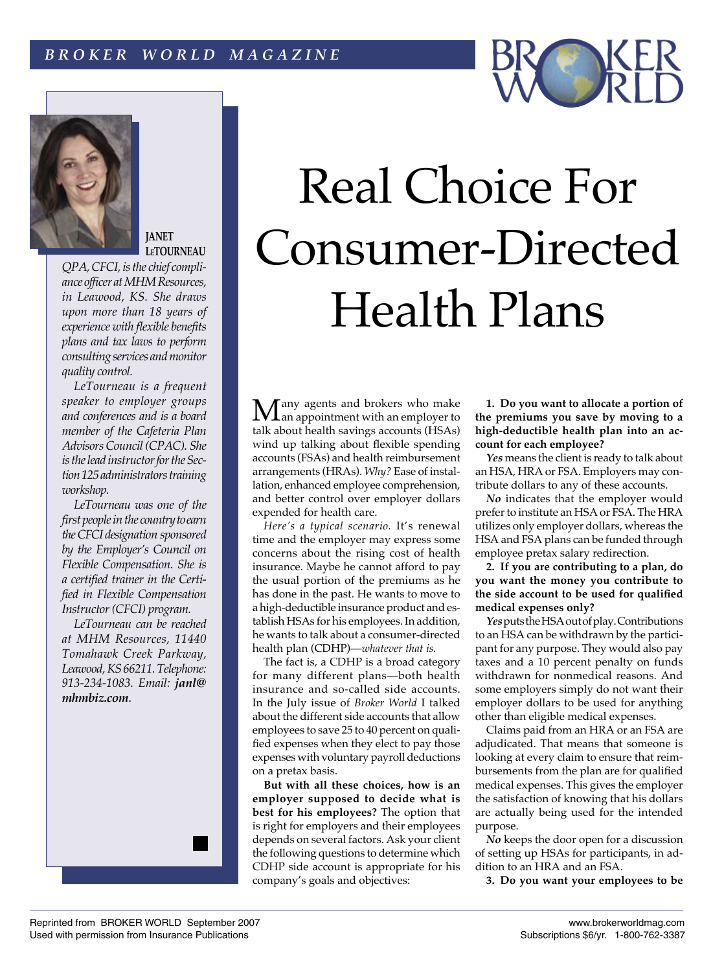# *B R O K E R W O R L D M A G A Z I N E*



## **JANET [LeTOURNEAU](http://www.mhmResources.com/kpjl.htm)**

*QPA, CFCI, is the chief compliance officer a[t MHM Resources,](http://www.mhmResources.com)  in Leawood, KS. She draws upon more than 18 years of experience with flexible benefits plans and tax laws to perform consulting services and monitor quality control.*

*LeTourneau is a frequent speaker to employer groups and conferences and is a board member of the Cafeteria Plan Advisors Council (CPAC). She is the lead instructor for the Section 125 administrators training workshop.*

*LeTourneau was one of the first people in the country to earn the CFCI designation sponsored by the Employer's Council on Flexible Compensation. She is a certified trainer in the Certified in Flexible Compensation Instructor (CFCI) program.*

*LeTourneau can be reached at MHM Resources, 11440 Tomahawk Creek Parkway, Leawood, KS 66211. Telephone: 913-234-1083. Email: janl@ mhmbiz.com*.



Many agents and brokers who make<br>an appointment with an employer to talk about health savings accounts (HSAs) wind up talking about flexible spending accounts (FSAs) and health reimbursement arrangements (HRAs). *Why?* Ease of installation, enhanced employee comprehension, and better control over employer dollars expended for health care.

*Here's a typical scenario.* It's renewal time and the employer may express some concerns about the rising cost of health insurance. Maybe he cannot afford to pay the usual portion of the premiums as he has done in the past. He wants to move to a high-deductible insurance product and establish HSAs for his employees. In addition, he wants to talk about a consumer-directed health plan (CDHP)—*whatever that is.*

The fact is, a CDHP is a broad category for many different plans—both health insurance and so-called side accounts. In the July issue of *Broker World* I talked about the different side accounts that allow employees to save 25 to 40 percent on qualified expenses when they elect to pay those expenses with voluntary payroll deductions on a pretax basis.

**But with all these choices, how is an employer supposed to decide what is best for his employees?** The option that is right for employers and their employees depends on several factors. Ask your client the following questions to determine which CDHP side account is appropriate for his company's goals and objectives:

**1. Do you want to allocate a portion of the premiums you save by moving to a high-deductible health plan into an account for each employee?**

*Yes* means the client is ready to talk about an HSA, HRA or FSA. Employers may contribute dollars to any of these accounts.

*No* indicates that the employer would prefer to institute an HSA or FSA. The HRA utilizes only employer dollars, whereas the HSA and FSA plans can be funded through employee pretax salary redirection.

**2. If you are contributing to a plan, do you want the money you contribute to the side account to be used for qualified medical expenses only?**

*Yes* puts the HSA out of play. Contributions to an HSA can be withdrawn by the participant for any purpose. They would also pay taxes and a 10 percent penalty on funds withdrawn for nonmedical reasons. And some employers simply do not want their employer dollars to be used for anything other than eligible medical expenses.

Claims paid from an HRA or an FSA are adjudicated. That means that someone is looking at every claim to ensure that reimbursements from the plan are for qualified medical expenses. This gives the employer the satisfaction of knowing that his dollars are actually being used for the intended purpose.

*No* keeps the door open for a discussion of setting up HSAs for participants, in addition to an HRA and an FSA.

**3. Do you want your employees to be**